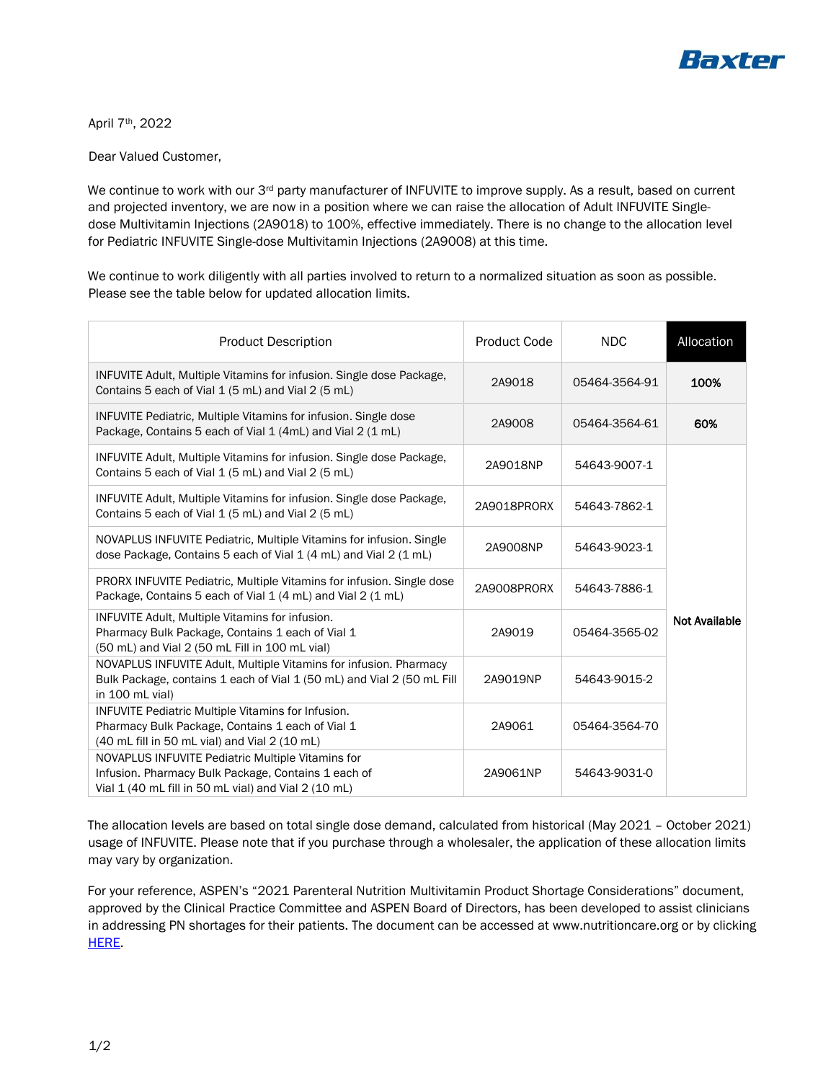

April 7th, 2022

Dear Valued Customer,

We continue to work with our 3<sup>rd</sup> party manufacturer of INFUVITE to improve supply. As a result, based on current and projected inventory, we are now in a position where we can raise the allocation of Adult INFUVITE Singledose Multivitamin Injections (2A9018) to 100%, effective immediately. There is no change to the allocation level for Pediatric INFUVITE Single-dose Multivitamin Injections (2A9008) at this time.

We continue to work diligently with all parties involved to return to a normalized situation as soon as possible. Please see the table below for updated allocation limits.

| <b>Product Description</b>                                                                                                                                       | <b>Product Code</b> | <b>NDC</b>    | Allocation           |
|------------------------------------------------------------------------------------------------------------------------------------------------------------------|---------------------|---------------|----------------------|
| INFUVITE Adult, Multiple Vitamins for infusion. Single dose Package,<br>Contains 5 each of Vial 1 (5 mL) and Vial 2 (5 mL)                                       | 2A9018              | 05464-3564-91 | 100%                 |
| INFUVITE Pediatric, Multiple Vitamins for infusion. Single dose<br>Package, Contains 5 each of Vial 1 (4mL) and Vial 2 (1 mL)                                    | 2A9008              | 05464-3564-61 | 60%                  |
| INFUVITE Adult, Multiple Vitamins for infusion. Single dose Package,<br>Contains 5 each of Vial 1 (5 mL) and Vial 2 (5 mL)                                       | 2A9018NP            | 54643-9007-1  | <b>Not Available</b> |
| INFUVITE Adult, Multiple Vitamins for infusion. Single dose Package,<br>Contains 5 each of Vial 1 (5 mL) and Vial 2 (5 mL)                                       | 2A9018PRORX         | 54643-7862-1  |                      |
| NOVAPLUS INFUVITE Pediatric, Multiple Vitamins for infusion. Single<br>dose Package, Contains 5 each of Vial 1 (4 mL) and Vial 2 (1 mL)                          | 2A9008NP            | 54643-9023-1  |                      |
| PRORX INFUVITE Pediatric, Multiple Vitamins for infusion. Single dose<br>Package, Contains 5 each of Vial 1 (4 mL) and Vial 2 (1 mL)                             | 2A9008PRORX         | 54643-7886-1  |                      |
| INFUVITE Adult, Multiple Vitamins for infusion.<br>Pharmacy Bulk Package, Contains 1 each of Vial 1<br>(50 mL) and Vial 2 (50 mL Fill in 100 mL vial)            | 2A9019              | 05464-3565-02 |                      |
| NOVAPLUS INFUVITE Adult, Multiple Vitamins for infusion. Pharmacy<br>Bulk Package, contains 1 each of Vial 1 (50 mL) and Vial 2 (50 mL Fill<br>in 100 mL vial)   | 2A9019NP            | 54643-9015-2  |                      |
| INFUVITE Pediatric Multiple Vitamins for Infusion.<br>Pharmacy Bulk Package, Contains 1 each of Vial 1<br>(40 mL fill in 50 mL vial) and Vial 2 (10 mL)          | 2A9061              | 05464-3564-70 |                      |
| NOVAPLUS INFUVITE Pediatric Multiple Vitamins for<br>Infusion. Pharmacy Bulk Package, Contains 1 each of<br>Vial 1 (40 mL fill in 50 mL vial) and Vial 2 (10 mL) | 2A9061NP            | 54643-9031-0  |                      |

The allocation levels are based on total single dose demand, calculated from historical (May 2021 – October 2021) usage of INFUVITE. Please note that if you purchase through a wholesaler, the application of these allocation limits may vary by organization.

For your reference, ASPEN's "2021 Parenteral Nutrition Multivitamin Product Shortage Considerations" document, approved by the Clinical Practice Committee and ASPEN Board of Directors, has been developed to assist clinicians in addressing PN shortages for their patients. The document can be accessed at www.nutritioncare.org or by clicking HERE.